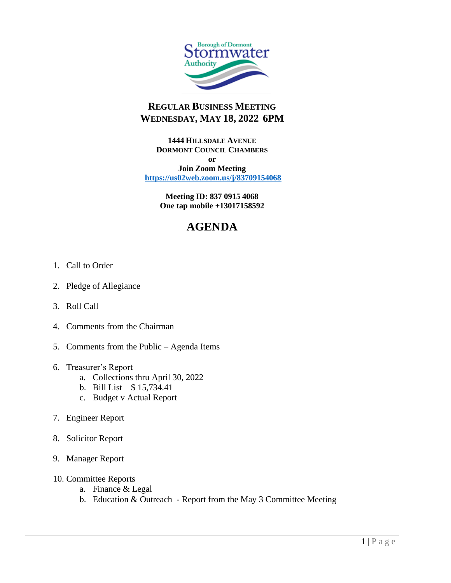

## **REGULAR BUSINESS MEETING WEDNESDAY, MAY 18, 2022 6PM**

**1444 HILLSDALE AVENUE DORMONT COUNCIL CHAMBERS or**

**Join Zoom Meeting <https://us02web.zoom.us/j/83709154068>**

> **Meeting ID: 837 0915 4068 One tap mobile +13017158592**

## **AGENDA**

- 1. Call to Order
- 2. Pledge of Allegiance
- 3. Roll Call
- 4. Comments from the Chairman
- 5. Comments from the Public Agenda Items
- 6. Treasurer's Report
	- a. Collections thru April 30, 2022
	- b. Bill List  $$15,734.41$
	- c. Budget v Actual Report
- 7. Engineer Report
- 8. Solicitor Report
- 9. Manager Report
- 10. Committee Reports
	- a. Finance & Legal
	- b. Education & Outreach Report from the May 3 Committee Meeting